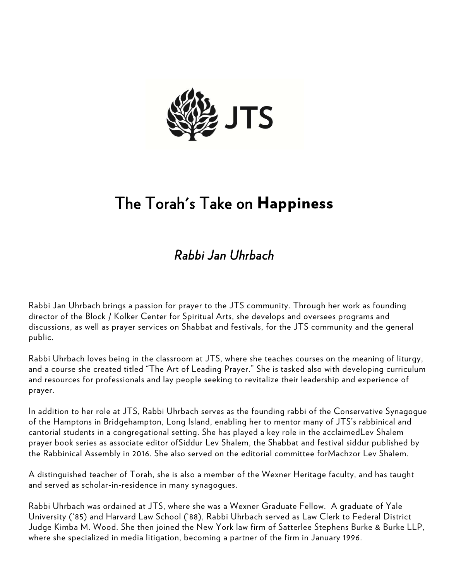

# The Torah's Take on Happiness

## *Rabbi Jan Uhrbach*

Rabbi Jan Uhrbach brings a passion for prayer to the JTS community. Through her work as founding director of the Block / Kolker Center for Spiritual Arts, she develops and oversees programs and discussions, as well as prayer services on Shabbat and festivals, for the JTS community and the general public.

Rabbi Uhrbach loves being in the classroom at JTS, where she teaches courses on the meaning of liturgy, and a course she created titled "The Art of Leading Prayer." She is tasked also with developing curriculum and resources for professionals and lay people seeking to revitalize their leadership and experience of prayer.

In addition to her role at JTS, Rabbi Uhrbach serves as the founding rabbi of the Conservative Synagogue of the Hamptons in Bridgehampton, Long Island, enabling her to mentor many of JTS's rabbinical and cantorial students in a congregational setting. She has played a key role in the acclaimedLev Shalem prayer book series as associate editor ofSiddur Lev Shalem, the Shabbat and festival siddur published by the Rabbinical Assembly in 2016. She also served on the editorial committee forMachzor Lev Shalem.

A distinguished teacher of Torah, she is also a member of the Wexner Heritage faculty, and has taught and served as scholar-in-residence in many synagogues.

Rabbi Uhrbach was ordained at JTS, where she was a Wexner Graduate Fellow. A graduate of Yale University ('85) and Harvard Law School ('88), Rabbi Uhrbach served as Law Clerk to Federal District Judge Kimba M. Wood. She then joined the New York law firm of Satterlee Stephens Burke & Burke LLP, where she specialized in media litigation, becoming a partner of the firm in January 1996.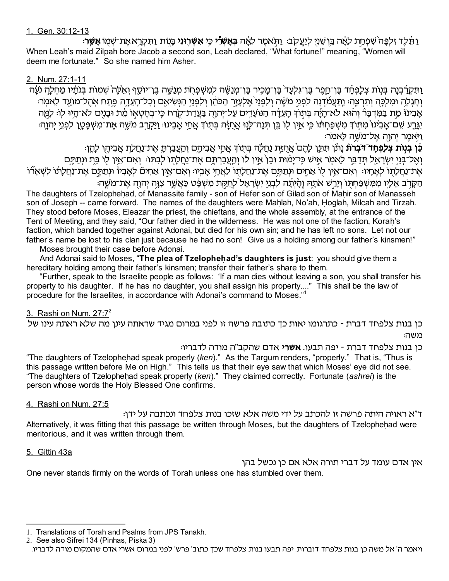ַ וַתֵּלֶד זְלַפֶּה שִׁפְחֵת לָאֲה בֵּן שֶׁנְיָ לִיַעֲקָב: וַתִּאמֶר לֵאֵה **בְּאֲשְׁרֶי כִּי אִשְּׁרוּנִי** בַּנוֹת וַתִּקְרֵאאֶת־שְׁמָוֹ **אֲשֵׁר**: When Leah's maid Zilpah bore Jacob a second son, Leah declared, "What fortune!" meaning, "Women will deem me fortunate." So she named him Asher.

### 2. Num. 27:1-11

וַתִּקְרַבְנָה בְּנְוֹת צְלָפְחָד בֶּן־תֵפֶר בֶּן־גִּלְעָד בֶּן־מָכִיר בֶּן־מְנַשֶּׁה לְמִשְׁפְּחִת מְנַשֶּׁה בֶן־יוֹסֵף וְאֵכֶּה שְׁמְוֹת בְּנֹתָׁיו מַחְלָה נֹעָה וחגלה ומלכה ותרצה: ותעמדנה לפני משה ולפני אלעזר הכהן ולפני הנשיאם וכל־העדה פתח אהל־מועד לאמר: אַבְינוֹ מֶת בַּמְדְבַּר וְהוּא לא־הַיַּה בְּתוֹךְ הַעֲדָה הַנּוֹעָדֵים עַל־יִהְוַהְ בַּעֲדַת־קְרַח כֵּי־בְחֵטְאוֹ מֶת וּבָנִים לא־הַיִי לוּ לַמֲה יְגַּרֵע שֶׁם־אֲבִינוּ מִתְּוֹדְ מִשְׁפַּחְתוֹ כֵּי אֵין לוֹ בֵּן תִּנַה־לֵנוּ אֲחָזָּה בְּתְוֹדְ אֲחֵי אֲבִינוּ וַיַּקְרֵב מֹשֶׁה אֶת־מְשִׁפַּטֶן לִפְגֵי יִהְוֵהּ וַיְאמֵר יִהְוָהְ אֱל־מֹשֵׁה לַאמֹר:

ּ**ְכָּן בְּנִוֹת צְלַפְחָד דֹּבְרֹת** נַתֹּן תִּתֵּן לַהֵם אֲחָזֵת נַחֲלֵה בְּתִוֹךְ אֲחֵי אֲבִיהֵם וְהַעֲבָרְתֵ אֶת־נַחֲלֶת אֲבִיהֶן לַהֵן: וְאֵל־בְּנֵי יִשְׂרָאֱל תִּדָּבֵּר לֵאמֹר אֵישׁ כֵּי־יַמֹוּת וּבֵן אֵין לו וְהַעֲבַרְתֵּם אֶת־יַחֲלָתו לִבְתָּוּ וְאִם־אֵין לו בַּת וּנְתַתֵּם אֶת־נַחֲלַתוֹ לְאֶחָיוּ: וְאִם־אֵין לו אַחִים וּנְתַתֵּם אֶת־נַחֲלַתוֹ לְאֶחֵי אֲבִיוּ וְאִם־אֵין אֲחִים לְאֲבִיוֹ וּנְתַתֵּם אֶת־נַחֲלַתוֹ לִשְׁאֵרוֹ ּהקרֹב אליו ממשפּחתּוֹ וירשׁ אֹתהּ והֹיתֿה לבני ישׂראל ׁלחקת משׁפּט כּאשר צוּה יהוה את־משה:

The daughters of Tzelophehad, of Manassite family - son of Hefer son of Gilad son of Mahir son of Manasseh son of Joseph -- came forward. The names of the daughters were Mahlah. No'ah. Hoglah. Milcah and Tirzah. They stood before Moses, Eleazar the priest, the chieftans, and the whole assembly, at the entrance of the Tent of Meeting, and they said, "Our father died in the wilderness. He was not one of the faction, Korah's faction, which banded together against Adonai, but died for his own sin; and he has left no sons. Let not our father's name be lost to his clan just because he had no son! Give us a holding among our father's kinsmen!" Moses brought their case before Adonai.

And Adonai said to Moses, "The plea of Tzelophehad's daughters is just: you should give them a hereditary holding among their father's kinsmen; transfer their father's share to them.

"Further, speak to the Israelite people as follows: 'If a man dies without leaving a son, you shall transfer his property to his daughter. If he has no daughter, you shall assign his property...." This shall be the law of procedure for the Israelites, in accordance with Adonai's command to Moses."

#### 3. Rashi on Num. 27:7<sup>2</sup>

כן בנות צלפחד דברת - כתרגומו יאות כך כתובה פרשה זו לפני במרום מגיד שראתה עינן מה שלא ראתה עינו של ּמשה

כן בנות צלפחד דברת - יפה תבעו. **אשרי** אדם שהקב"ה מודה לדבריו:

"The daughters of Tzelophehad speak properly (ken)." As the Targum renders, "properly." That is, "Thus is this passage written before Me on High." This tells us that their eye saw that which Moses' eye did not see. "The daughters of Tzelophehad speak properly (ken)." They claimed correctly. Fortunate (ashrei) is the person whose words the Holy Blessed One confirms.

#### 4. Rashi on Num. 27:5

ד"א ראויה היתה פרשה זו להכתב על ידי משה אלא שזכו בנות צלפחד ונכתבה על ידן: Alternatively, it was fitting that this passage be written through Moses, but the daughters of Tzelophehad were meritorious, and it was written through them.

#### 5. Gittin 43a

אין אדם עומד על דברי תורה אלא אם כן נכשל בהן One never stands firmly on the words of Torah unless one has stumbled over them.

ויאמר ה' אל משה כן בנות צלפחד דוברות. יפה תבעו בנות צלפחד שכך כתוב' פרש' לפני במרום אשרי אדם שהמקום מודה לדבריו.

<sup>1.</sup> Translations of Torah and Psalms from JPS Tanakh.

<sup>2.</sup> See also Sifrei 134 (Pinhas, Piska 3)